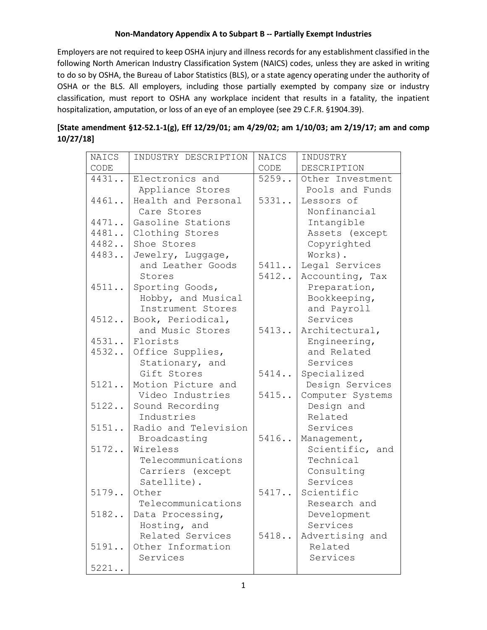## **Non-Mandatory Appendix A to Subpart B -- Partially Exempt Industries**

Employers are not required to keep OSHA injury and illness records for any establishment classified in the following North American Industry Classification System (NAICS) codes, unless they are asked in writing to do so by OSHA, the Bureau of Labor Statistics (BLS), or a state agency operating under the authority of OSHA or the BLS. All employers, including those partially exempted by company size or industry classification, must report to OSHA any workplace incident that results in a fatality, the inpatient hospitalization, amputation, or loss of an eye of an employee (see 29 C.F.R. §1904.39).

## **[State amendment §12-52.1-1(g), Eff 12/29/01; am 4/29/02; am 1/10/03; am 2/19/17; am and comp 10/27/18]**

| NAICS | INDUSTRY DESCRIPTION | NAICS | INDUSTRY         |
|-------|----------------------|-------|------------------|
| CODE  |                      | CODE  | DESCRIPTION      |
| 4431  | Electronics and      | 5259  | Other Investment |
|       | Appliance Stores     |       | Pools and Funds  |
| 4461  | Health and Personal  | 5331  | Lessors of       |
|       | Care Stores          |       | Nonfinancial     |
| 4471  | Gasoline Stations    |       | Intangible       |
| 4481  | Clothing Stores      |       | Assets (except   |
| 4482  | Shoe Stores          |       | Copyrighted      |
| 4483  | Jewelry, Luggage,    |       | Works).          |
|       | and Leather Goods    | 5411  | Legal Services   |
|       | Stores               | 5412  | Accounting, Tax  |
| 4511  | Sporting Goods,      |       | Preparation,     |
|       | Hobby, and Musical   |       | Bookkeeping,     |
|       | Instrument Stores    |       | and Payroll      |
| 4512  | Book, Periodical,    |       | Services         |
|       | and Music Stores     | 5413  | Architectural,   |
| 4531  | Florists             |       | Engineering,     |
| 4532  | Office Supplies,     |       | and Related      |
|       | Stationary, and      |       | Services         |
|       | Gift Stores          | 5414  | Specialized      |
| 5121  | Motion Picture and   |       | Design Services  |
|       | Video Industries     | 5415  | Computer Systems |
| 5122  | Sound Recording      |       | Design and       |
|       | Industries           |       | Related          |
| 5151  | Radio and Television |       | Services         |
|       | Broadcasting         | 5416  | Management,      |
| 5172  | Wireless             |       | Scientific, and  |
|       | Telecommunications   |       | Technical        |
|       | Carriers (except     |       | Consulting       |
|       | Satellite).          |       | Services         |
| 5179  | Other                | 5417  | Scientific       |
|       | Telecommunications   |       | Research and     |
| 5182  | Data Processing,     |       | Development      |
|       | Hosting, and         |       | Services         |
|       | Related Services     | 5418  | Advertising and  |
| 5191  | Other Information    |       | Related          |
|       | Services             |       | Services         |
| 5221  |                      |       |                  |